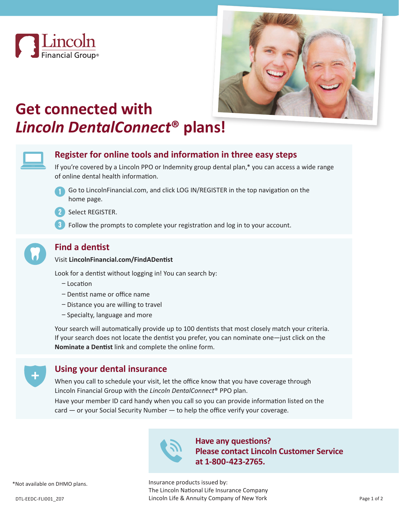



# **Get connected with**  *Lincoln DentalConnect***® plans!**



## **Register for online tools and information in three easy steps**

If you're covered by a Lincoln PPO or Indemnity group dental plan,\* you can access a wide range of online dental health information.



Go to LincolnFinancial.com, and click LOG IN/REGISTER in the top navigation on the home page.



2 Select REGISTER.

Follow the prompts to complete your registration and log in to your account. **3**



## **Find a dentist**

#### Visit **LincolnFinancial.com/FindADentist**

Look for a dentist without logging in! You can search by:

- Location
- Dentist name or office name
- Distance you are willing to travel
- Specialty, language and more

Your search will automatically provide up to 100 dentists that most closely match your criteria. If your search does not locate the dentist you prefer, you can nominate one—just click on the **Nominate a Dentist** link and complete the online form.



### **Using your dental insurance**

When you call to schedule your visit, let the office know that you have coverage through Lincoln Financial Group with the *Lincoln DentalConnect*® PPO plan.

Have your member ID card handy when you call so you can provide information listed on the card — or your Social Security Number — to help the office verify your coverage.



**Have any questions? Please contact Lincoln Customer Service at 1-800-423-2765.**

Insurance products issued by: The Lincoln National Life Insurance Company DTL-EEDC-FLI001\_Z07 **DTL-EEDC-FLI001\_Z07** DTL-EEDC-FLI001\_Z07 Page 1 of 2

\*Not available on DHMO plans.